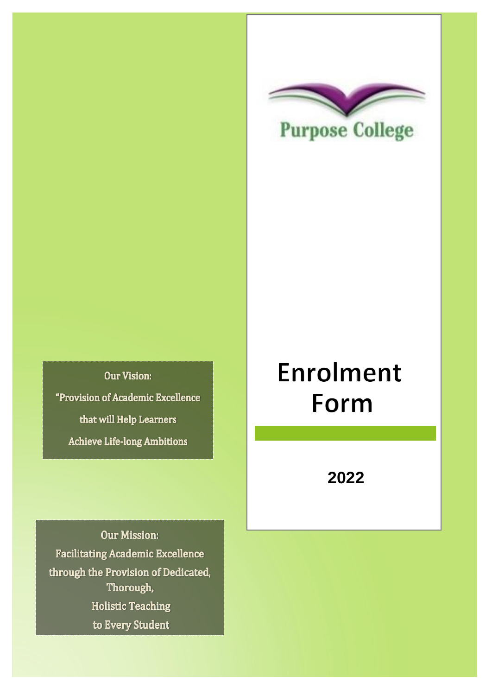

**Our Vision:** "Provision of Academic Excellence that will Help Learners **Achieve Life-long Ambitions** 

# **Enrolment** Form

**2022**

**Our Mission: Facilitating Academic Excellence** through the Provision of Dedicated, Thorough, **Holistic Teaching** to Every Student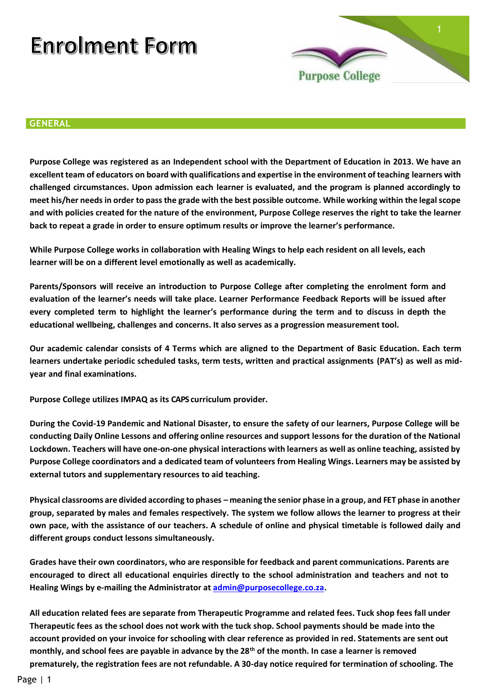

#### **GENERAL**

Purpose College was registered as an Independent school with the Department of Education in 2013. We have an **excellent team of educators on board with qualifications and expertise in the environment of teaching learners with challenged circumstances. Upon admission each learner is evaluated, and the program is planned accordingly to meet his/her needs in order to pass the grade with the best possible outcome. While working within the legal scope and with policies created for the nature of the environment, Purpose College reserves the right to take the learner back to repeat a grade in order to ensure optimum results or improve the learner's performance.** 

**While Purpose College works in collaboration with Healing Wings to help each resident on all levels, each learner will be on a different level emotionally as well as academically.**

**Parents/Sponsors will receive an introduction to Purpose College after completing the enrolment form and evaluation of the learner's needs will take place. Learner Performance Feedback Reports will be issued after every completed term to highlight the learner's performance during the term and to discuss in depth the educational wellbeing, challenges and concerns. It also serves as a progression measurement tool.**

**Our academic calendar consists of 4 Terms which are aligned to the Department of Basic Education. Each term learners undertake periodic scheduled tasks, term tests, written and practical assignments (PAT's) as well as midyear and final examinations.** 

**Purpose College utilizes IMPAQ as its CAPS curriculum provider.** 

**During the Covid-19 Pandemic and National Disaster, to ensure the safety of our learners, Purpose College will be conducting Daily Online Lessons and offering online resources and support lessons for the duration of the National Lockdown. Teachers will have one-on-one physical interactions with learners as well as online teaching, assisted by Purpose College coordinators and a dedicated team of volunteers from Healing Wings. Learners may be assisted by external tutors and supplementary resources to aid teaching.** 

**Physical classrooms are divided according to phases – meaning the senior phase in a group, and FET phase in another group, separated by males and females respectively. The system we follow allows the learner to progress at their own pace, with the assistance of our teachers. A schedule of online and physical timetable is followed daily and different groups conduct lessons simultaneously.**

**Grades have their own coordinators, who are responsible for feedback and parent communications. Parents are encouraged to direct all educational enquiries directly to the school administration and teachers and not to Healing Wings by e-mailing the Administrator at [admin@purposecollege.co.za.](mailto:admin@purposecollege.co.za)**

**All education related fees are separate from Therapeutic Programme and related fees. Tuck shop fees fall under Therapeutic fees as the school does not work with the tuck shop. School payments should be made into the account provided on your invoice for schooling with clear reference as provided in red. Statements are sent out monthly, and school fees are payable in advance by the 28th of the month. In case a learner is removed prematurely, the registration fees are not refundable. A 30-day notice required for termination of schooling. The**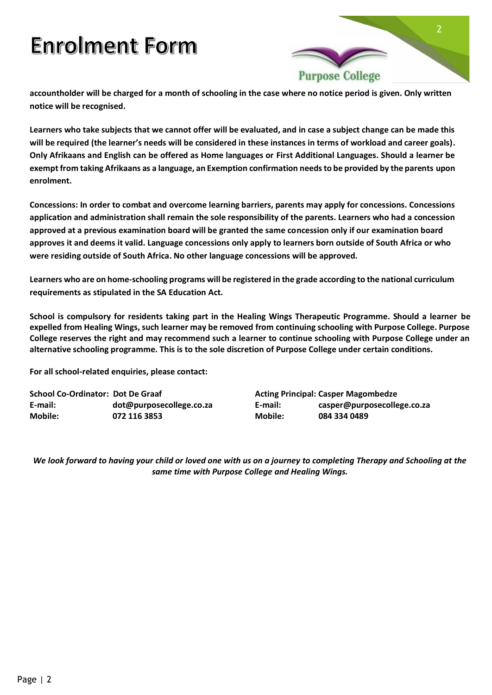2 **Purpose College** 

**accountholder will be charged for a month of schooling in the case where no notice period is given. Only written notice will be recognised.**

**Learners who take subjects that we cannot offer will be evaluated, and in case a subject change can be made this will be required (the learner's needs will be considered in these instances in terms of workload and career goals). Only Afrikaans and English can be offered as Home languages or First Additional Languages. Should a learner be exempt from taking Afrikaans as a language, an Exemption confirmation needs to be provided by the parents upon enrolment.** 

**Concessions: In order to combat and overcome learning barriers, parents may apply for concessions. Concessions application and administration shall remain the sole responsibility of the parents. Learners who had a concession approved at a previous examination board will be granted the same concession only if our examination board approves it and deems it valid. Language concessions only apply to learners born outside of South Africa or who were residing outside of South Africa. No other language concessions will be approved.**

**Learners who are on home-schooling programs will be registered in the grade according to the national curriculum requirements as stipulated in the SA Education Act.**

**School is compulsory for residents taking part in the Healing Wings Therapeutic Programme. Should a learner be expelled from Healing Wings, such learner may be removed from continuing schooling with Purpose College. Purpose College reserves the right and may recommend such a learner to continue schooling with Purpose College under an alternative schooling programme. This is to the sole discretion of Purpose College under certain conditions.**

**For all school-related enquiries, please contact:**

| <b>School Co-Ordinator: Dot De Graaf</b> |                          |
|------------------------------------------|--------------------------|
| E-mail:                                  | dot@purposecollege.co.za |
| Mobile:                                  | 072 116 3853             |

**Acting Principal: Casper Magombedze E-mail: dot@purposecollege.co.za E-mail: casper@purposecollege.co.za Mobile: 072 116 3853 Mobile: 084 334 0489**

*We look forward to having your child or loved one with us on a journey to completing Therapy and Schooling at the same time with Purpose College and Healing Wings.*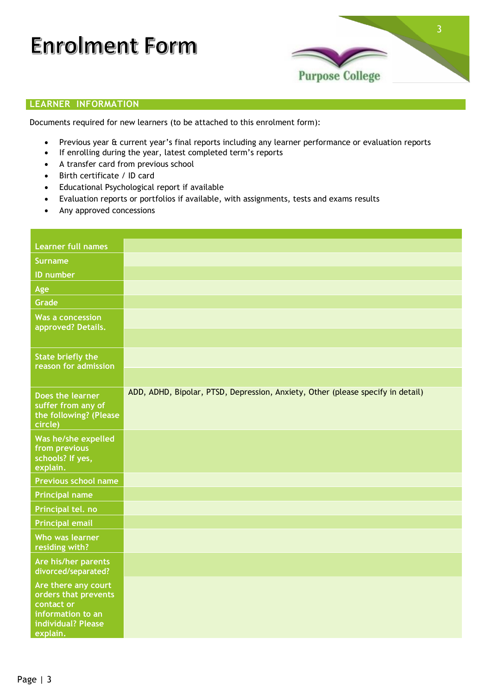

#### **LEARNER INFORMATION**

Documents required for new learners (to be attached to this enrolment form):

- Previous year & current year's final reports including any learner performance or evaluation reports
- If enrolling during the year, latest completed term's reports
- A transfer card from previous school
- Birth certificate / ID card
- Educational Psychological report if available
- Evaluation reports or portfolios if available, with assignments, tests and exams results
- Any approved concessions

| <b>Learner full names</b>                                                                                        |                                                                                 |
|------------------------------------------------------------------------------------------------------------------|---------------------------------------------------------------------------------|
| <b>Surname</b>                                                                                                   |                                                                                 |
| <b>ID</b> number                                                                                                 |                                                                                 |
| Age                                                                                                              |                                                                                 |
| <b>Grade</b>                                                                                                     |                                                                                 |
| <b>Was a concession</b><br>approved? Details.                                                                    |                                                                                 |
| <b>State briefly the</b><br>reason for admission                                                                 |                                                                                 |
|                                                                                                                  |                                                                                 |
| Does the learner<br>suffer from any of<br>the following? (Please<br>circle)                                      | ADD, ADHD, Bipolar, PTSD, Depression, Anxiety, Other (please specify in detail) |
| Was he/she expelled<br>from previous<br>schools? If yes,<br>explain.                                             |                                                                                 |
| Previous school name                                                                                             |                                                                                 |
| <b>Principal name</b>                                                                                            |                                                                                 |
| Principal tel. no                                                                                                |                                                                                 |
| <b>Principal email</b>                                                                                           |                                                                                 |
| Who was learner<br>residing with?                                                                                |                                                                                 |
| Are his/her parents<br>divorced/separated?                                                                       |                                                                                 |
| Are there any court<br>orders that prevents<br>contact or<br>information to an<br>individual? Please<br>explain. |                                                                                 |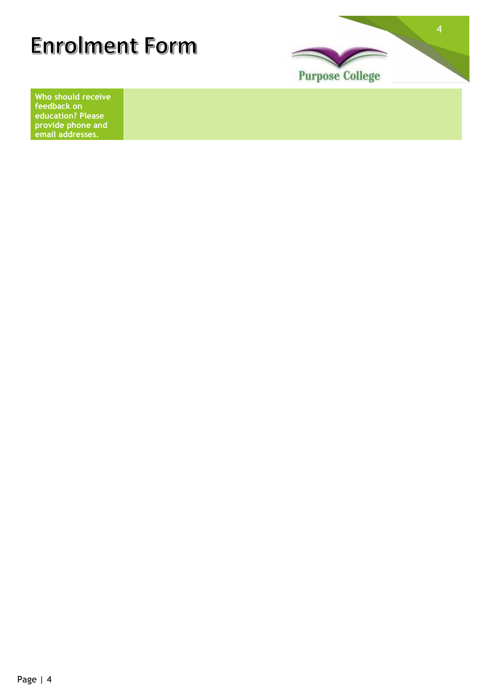

**Who should receive feedback on education? Please provide phone and email addresses.**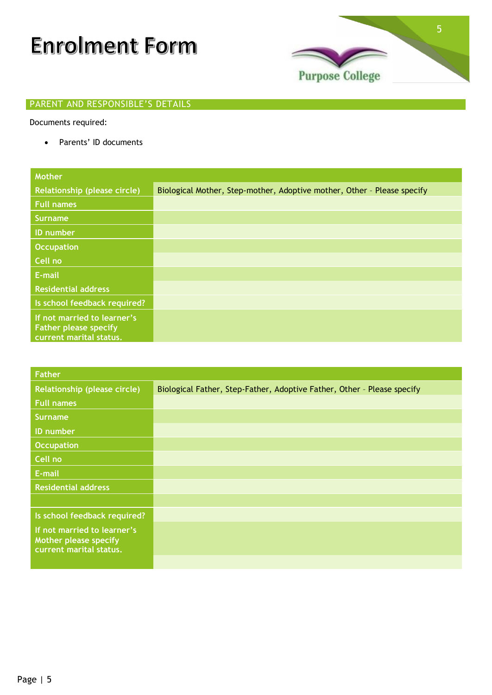

### PARENT AND RESPONSIBLE'S DETAILS

Documents required:

• Parents' ID documents

| <b>Mother</b>                                                                          |                                                                         |
|----------------------------------------------------------------------------------------|-------------------------------------------------------------------------|
| Relationship (please circle)                                                           | Biological Mother, Step-mother, Adoptive mother, Other - Please specify |
| <b>Full names</b>                                                                      |                                                                         |
| <b>Surname</b>                                                                         |                                                                         |
| <b>ID</b> number                                                                       |                                                                         |
| <b>Occupation</b>                                                                      |                                                                         |
| <b>Cell no</b>                                                                         |                                                                         |
| E-mail                                                                                 |                                                                         |
| <b>Residential address</b>                                                             |                                                                         |
| Is school feedback required?                                                           |                                                                         |
| If not married to learner's<br><b>Father please specify</b><br>current marital status. |                                                                         |

| <b>Father</b>                                                                   |                                                                         |
|---------------------------------------------------------------------------------|-------------------------------------------------------------------------|
| Relationship (please circle)                                                    | Biological Father, Step-Father, Adoptive Father, Other - Please specify |
| <b>Full names</b>                                                               |                                                                         |
| <b>Surname</b>                                                                  |                                                                         |
| <b>ID</b> number                                                                |                                                                         |
| <b>Occupation</b>                                                               |                                                                         |
| Cell no                                                                         |                                                                         |
| E-mail                                                                          |                                                                         |
| <b>Residential address</b>                                                      |                                                                         |
|                                                                                 |                                                                         |
| Is school feedback required?                                                    |                                                                         |
| If not married to learner's<br>Mother please specify<br>current marital status. |                                                                         |
|                                                                                 |                                                                         |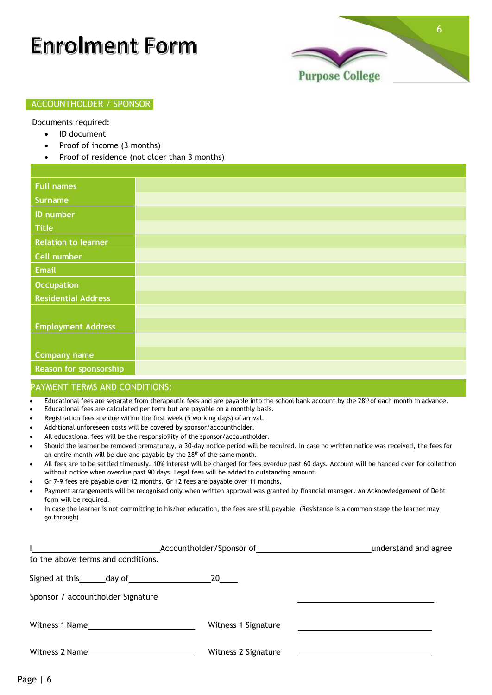

#### ACCOUNTHOLDER / SPONSOR

Documents required:

- ID document
- Proof of income (3 months)
- Proof of residence (not older than 3 months)

| <b>Full names</b>          |  |
|----------------------------|--|
| <b>Surname</b>             |  |
| <b>ID</b> number           |  |
| <b>Title</b>               |  |
| <b>Relation to learner</b> |  |
| <b>Cell number</b>         |  |
| <b>Email</b>               |  |
| <b>Occupation</b>          |  |
| <b>Residential Address</b> |  |
|                            |  |
| <b>Employment Address</b>  |  |
|                            |  |
| <b>Company name</b>        |  |
| Reason for sponsorship     |  |
|                            |  |

#### PAYMENT TERMS AND CONDITIONS:

- Educational fees are separate from therapeutic fees and are payable into the school bank account by the  $28<sup>th</sup>$  of each month in advance.
- Educational fees are calculated per term but are payable on a monthly basis.
- Registration fees are due within the first week (5 working days) of arrival.
- Additional unforeseen costs will be covered by sponsor/accountholder.
- All educational fees will be the responsibility of the sponsor/accountholder.
- Should the learner be removed prematurely, a 30-day notice period will be required. In case no written notice was received, the fees for an entire month will be due and payable by the 28<sup>th</sup> of the same month.
- All fees are to be settled timeously. 10% interest will be charged for fees overdue past 60 days. Account will be handed over for collection without notice when overdue past 90 days. Legal fees will be added to outstanding amount.
- Gr 7-9 fees are payable over 12 months. Gr 12 fees are payable over 11 months.
- Payment arrangements will be recognised only when written approval was granted by financial manager. An Acknowledgement of Debt form will be required.
- In case the learner is not committing to his/her education, the fees are still payable. (Resistance is a common stage the learner may go through)

|                                                                                                                                                                                                                                |                     | understand and agree |
|--------------------------------------------------------------------------------------------------------------------------------------------------------------------------------------------------------------------------------|---------------------|----------------------|
| to the above terms and conditions.                                                                                                                                                                                             |                     |                      |
| Signed at this day of 20                                                                                                                                                                                                       |                     |                      |
| Sponsor / accountholder Signature                                                                                                                                                                                              |                     |                      |
| Witness 1 Name                                                                                                                                                                                                                 | Witness 1 Signature |                      |
| Witness 2 Name and the state of the state of the state of the state of the state of the state of the state of the state of the state of the state of the state of the state of the state of the state of the state of the stat | Witness 2 Signature |                      |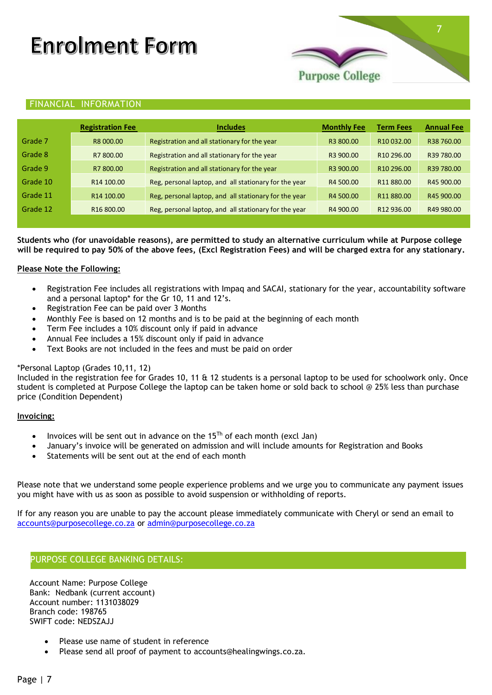

#### FINANCIAL INFORMATION

|          | <b>Registration Fee</b> | <b>Includes</b>                                       | <b>Monthly Fee</b> | <b>Term Fees</b>       | <b>Annual Fee</b>      |
|----------|-------------------------|-------------------------------------------------------|--------------------|------------------------|------------------------|
| Grade 7  | R8 000.00               | Registration and all stationary for the year          | R3 800.00          | R <sub>10</sub> 032.00 | R <sub>38</sub> 760.00 |
| Grade 8  | R7800.00                | Registration and all stationary for the year          | R3 900.00          | R <sub>10</sub> 296.00 | R39 780.00             |
| Grade 9  | R7800.00                | Registration and all stationary for the year          | R3 900.00          | R <sub>10</sub> 296.00 | R39 780.00             |
| Grade 10 | R <sub>14</sub> 100.00  | Reg, personal laptop, and all stationary for the year | R4 500.00          | R <sub>11</sub> 880.00 | R45 900.00             |
| Grade 11 | R <sub>14</sub> 100.00  | Reg, personal laptop, and all stationary for the year | R4 500.00          | R <sub>11</sub> 880.00 | R45 900.00             |
| Grade 12 | R <sub>16</sub> 800.00  | Reg, personal laptop, and all stationary for the year | R4 900.00          | R <sub>12</sub> 936.00 | R49 980.00             |

**Students who (for unavoidable reasons), are permitted to study an alternative curriculum while at Purpose college will be required to pay 50% of the above fees, (Excl Registration Fees) and will be charged extra for any stationary.**

#### **Please Note the Following:**

- Registration Fee includes all registrations with Impaq and SACAI, stationary for the year, accountability software and a personal laptop\* for the Gr 10, 11 and 12's.
- Registration Fee can be paid over 3 Months
- Monthly Fee is based on 12 months and is to be paid at the beginning of each month
- Term Fee includes a 10% discount only if paid in advance
- Annual Fee includes a 15% discount only if paid in advance
- Text Books are not included in the fees and must be paid on order

#### \*Personal Laptop (Grades 10,11, 12)

Included in the registration fee for Grades 10, 11 & 12 students is a personal laptop to be used for schoolwork only. Once student is completed at Purpose College the laptop can be taken home or sold back to school @ 25% less than purchase price (Condition Dependent)

#### **Invoicing:**

- Invoices will be sent out in advance on the  $15^{Th}$  of each month (excl Jan)
- January's invoice will be generated on admission and will include amounts for Registration and Books
- Statements will be sent out at the end of each month

Please note that we understand some people experience problems and we urge you to communicate any payment issues you might have with us as soon as possible to avoid suspension or withholding of reports.

If for any reason you are unable to pay the account please immediately communicate with Cheryl or send an email to [accounts@purposecollege.co.za](mailto:accounts@purposecollege.co.za) or [admin@purposecollege.co.za](mailto:admin@purposecollege.co.za)

#### PURPOSE COLLEGE BANKING DETAILS:

Account Name: Purpose College Bank: Nedbank (current account) Account number: 1131038029 Branch code: 198765 SWIFT code: NEDSZAJJ

- Please use name of student in reference
- Please send all proof of payment to accounts@healingwings.co.za.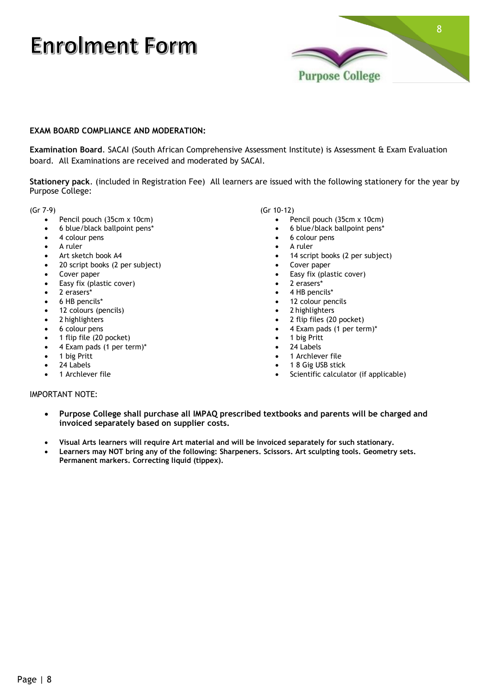

#### **EXAM BOARD COMPLIANCE AND MODERATION:**

**Examination Board**. SACAI (South African Comprehensive Assessment Institute) is Assessment & Exam Evaluation board. All Examinations are received and moderated by SACAI.

**Stationery pack**. (included in Registration Fee) All learners are issued with the following stationery for the year by Purpose College:

(Gr 7-9)

- Pencil pouch (35cm x 10cm)
- 6 blue/black ballpoint pens\*
- 4 colour pens
- A ruler
- Art sketch book A4
- 20 script books (2 per subject)
- Cover paper
- Easy fix (plastic cover)
- 2 erasers\*
- 6 HB pencils\*
- 12 colours (pencils)
- 2 highlighters
- 6 colour pens
- 1 flip file (20 pocket)
- 4 Exam pads (1 per term)\*
- 1 big Pritt
- 24 Labels
- 1 Archlever file

#### (Gr 10-12)

- Pencil pouch (35cm x 10cm)
- 6 blue/black ballpoint pens\*
- 6 colour pens
- A ruler
- 14 script books (2 per subject)
- Cover paper
- Easy fix (plastic cover)
- 2 erasers\*
- 4 HB pencils\*
- 12 colour pencils
- 2 highlighters
- 2 flip files (20 pocket)
- 4 Exam pads (1 per term)\*
- 1 big Pritt
- 24 Labels
- 1 Archlever file
- 1 8 Gig USB stick
- Scientific calculator (if applicable)

#### IMPORTANT NOTE:

- **Purpose College shall purchase all IMPAQ prescribed textbooks and parents will be charged and invoiced separately based on supplier costs.**
- **Visual Arts learners will require Art material and will be invoiced separately for such stationary.**
- **Learners may NOT bring any of the following: Sharpeners. Scissors. Art sculpting tools. Geometry sets. Permanent markers. Correcting liquid (tippex).**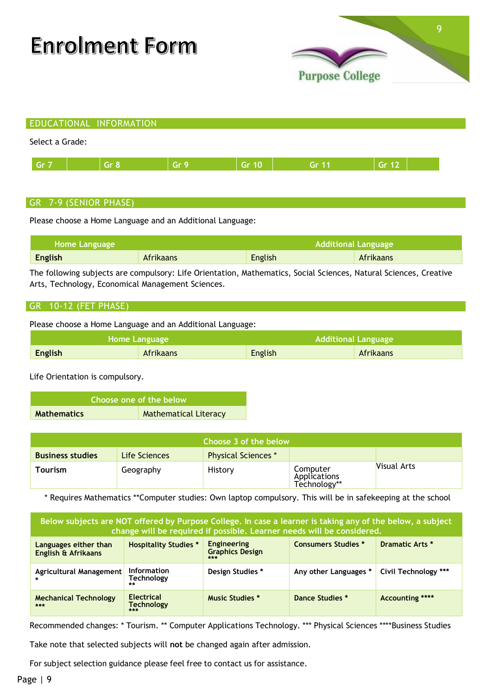

|                 | EDUCATIONAL INFORMATION |      |       |       |       |  |
|-----------------|-------------------------|------|-------|-------|-------|--|
| Select a Grade: |                         |      |       |       |       |  |
| Gr 7            | Gr 8                    | Gr 9 | Gr 10 | Gr 11 | Gr 12 |  |

#### GR 7-9 (SENIOR PHASE)

Please choose a Home Language and an Additional Language:

| Additional Language<br><b>Home Language</b> |           |         |           |
|---------------------------------------------|-----------|---------|-----------|
| <b>English</b>                              | Afrikaans | English | Afrikaans |

The following subjects are compulsory: Life Orientation, Mathematics, Social Sciences, Natural Sciences, Creative Arts, Technology, Economical Management Sciences.

#### GR 10-12 (FET PHASE)

Please choose a Home Language and an Additional Language:

| <b>Home Language</b> |           | <b>Additional Language</b> |           |  |
|----------------------|-----------|----------------------------|-----------|--|
| <b>English</b>       | Afrikaans | <b>English</b>             | Afrikaans |  |

Life Orientation is compulsory.

| Choose one of the below |                              |  |  |
|-------------------------|------------------------------|--|--|
| <b>Mathematics</b>      | <b>Mathematical Literacy</b> |  |  |

| Choose 3 of the below   |               |                            |                                          |             |  |
|-------------------------|---------------|----------------------------|------------------------------------------|-------------|--|
| <b>Business studies</b> | Life Sciences | <b>Physical Sciences</b> * |                                          |             |  |
| <b>Tourism</b>          | Geography     | History                    | Computer<br>Applications<br>Technology** | Visual Arts |  |

\* Requires Mathematics \*\*Computer studies: Own laptop compulsory. This will be in safekeeping at the school

| Below subjects are NOT offered by Purpose College. In case a learner is taking any of the below, a subject<br>change will be required if possible. Learner needs will be considered. |                                               |                                                     |                            |                        |  |
|--------------------------------------------------------------------------------------------------------------------------------------------------------------------------------------|-----------------------------------------------|-----------------------------------------------------|----------------------------|------------------------|--|
| Languages either than<br><b>English &amp; Afrikaans</b>                                                                                                                              | <b>Hospitality Studies *</b>                  | <b>Engineering</b><br><b>Graphics Design</b><br>*** | <b>Consumers Studies *</b> | <b>Dramatic Arts *</b> |  |
| Agricultural Management                                                                                                                                                              | <b>Information</b><br>Technology<br>**        | Design Studies *                                    | Any other Languages *      | Civil Technology ***   |  |
| <b>Mechanical Technology</b><br>***                                                                                                                                                  | <b>Electrical</b><br><b>Technology</b><br>*** | <b>Music Studies *</b>                              | Dance Studies *            | Accounting ****        |  |

Recommended changes: \* Tourism. \*\* Computer Applications Technology. \*\*\* Physical Sciences \*\*\*\*Business Studies

Take note that selected subjects will **not** be changed again after admission.

For subject selection guidance please feel free to contact us for assistance.

Page | 9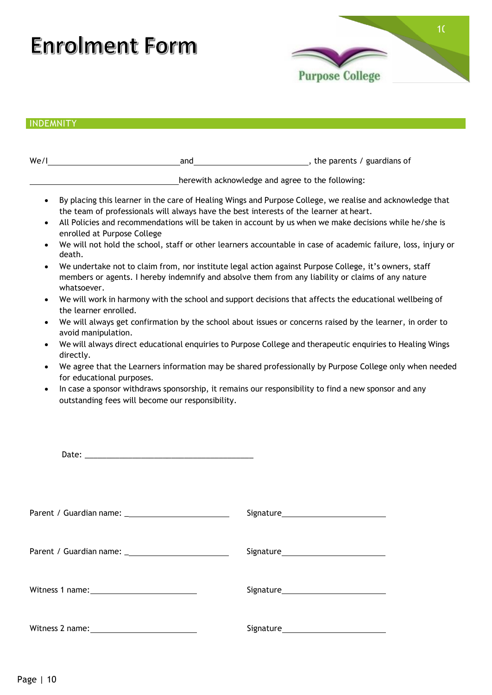

| <b>INDEMNITY</b>                                 |                                                                                                                                                                                                                                                                                                                                                                                                                                                                                                                                                                                                                                                                                                                                                                                                                                                                                                                                                                                                                                                                                                                                                                                                                                                                                                                                                                                                             |  |  |  |  |  |
|--------------------------------------------------|-------------------------------------------------------------------------------------------------------------------------------------------------------------------------------------------------------------------------------------------------------------------------------------------------------------------------------------------------------------------------------------------------------------------------------------------------------------------------------------------------------------------------------------------------------------------------------------------------------------------------------------------------------------------------------------------------------------------------------------------------------------------------------------------------------------------------------------------------------------------------------------------------------------------------------------------------------------------------------------------------------------------------------------------------------------------------------------------------------------------------------------------------------------------------------------------------------------------------------------------------------------------------------------------------------------------------------------------------------------------------------------------------------------|--|--|--|--|--|
|                                                  |                                                                                                                                                                                                                                                                                                                                                                                                                                                                                                                                                                                                                                                                                                                                                                                                                                                                                                                                                                                                                                                                                                                                                                                                                                                                                                                                                                                                             |  |  |  |  |  |
|                                                  | $We/1$ and $\overline{\phantom{a}}$ and $\overline{\phantom{a}}$ and $\overline{\phantom{a}}$ and $\overline{\phantom{a}}$ and $\overline{\phantom{a}}$ and $\overline{\phantom{a}}$ and $\overline{\phantom{a}}$ and $\overline{\phantom{a}}$ and $\overline{\phantom{a}}$ and $\overline{\phantom{a}}$ and $\overline{\phantom{a}}$ and $\overline{\phantom{a}}$ and $\overline{\phantom{a}}$ and $\over$                                                                                                                                                                                                                                                                                                                                                                                                                                                                                                                                                                                                                                                                                                                                                                                                                                                                                                                                                                                                 |  |  |  |  |  |
|                                                  | herewith acknowledge and agree to the following:                                                                                                                                                                                                                                                                                                                                                                                                                                                                                                                                                                                                                                                                                                                                                                                                                                                                                                                                                                                                                                                                                                                                                                                                                                                                                                                                                            |  |  |  |  |  |
| $\bullet$<br>$\bullet$<br>$\bullet$<br>$\bullet$ | By placing this learner in the care of Healing Wings and Purpose College, we realise and acknowledge that<br>the team of professionals will always have the best interests of the learner at heart.<br>All Policies and recommendations will be taken in account by us when we make decisions while he/she is<br>enrolled at Purpose College<br>We will not hold the school, staff or other learners accountable in case of academic failure, loss, injury or<br>death.<br>We undertake not to claim from, nor institute legal action against Purpose College, it's owners, staff<br>members or agents. I hereby indemnify and absolve them from any liability or claims of any nature<br>whatsoever.<br>We will work in harmony with the school and support decisions that affects the educational wellbeing of<br>the learner enrolled.<br>We will always get confirmation by the school about issues or concerns raised by the learner, in order to<br>avoid manipulation.<br>We will always direct educational enquiries to Purpose College and therapeutic enquiries to Healing Wings<br>directly.<br>We agree that the Learners information may be shared professionally by Purpose College only when needed<br>for educational purposes.<br>In case a sponsor withdraws sponsorship, it remains our responsibility to find a new sponsor and any<br>outstanding fees will become our responsibility. |  |  |  |  |  |
|                                                  |                                                                                                                                                                                                                                                                                                                                                                                                                                                                                                                                                                                                                                                                                                                                                                                                                                                                                                                                                                                                                                                                                                                                                                                                                                                                                                                                                                                                             |  |  |  |  |  |
|                                                  |                                                                                                                                                                                                                                                                                                                                                                                                                                                                                                                                                                                                                                                                                                                                                                                                                                                                                                                                                                                                                                                                                                                                                                                                                                                                                                                                                                                                             |  |  |  |  |  |
|                                                  |                                                                                                                                                                                                                                                                                                                                                                                                                                                                                                                                                                                                                                                                                                                                                                                                                                                                                                                                                                                                                                                                                                                                                                                                                                                                                                                                                                                                             |  |  |  |  |  |
|                                                  |                                                                                                                                                                                                                                                                                                                                                                                                                                                                                                                                                                                                                                                                                                                                                                                                                                                                                                                                                                                                                                                                                                                                                                                                                                                                                                                                                                                                             |  |  |  |  |  |
|                                                  |                                                                                                                                                                                                                                                                                                                                                                                                                                                                                                                                                                                                                                                                                                                                                                                                                                                                                                                                                                                                                                                                                                                                                                                                                                                                                                                                                                                                             |  |  |  |  |  |